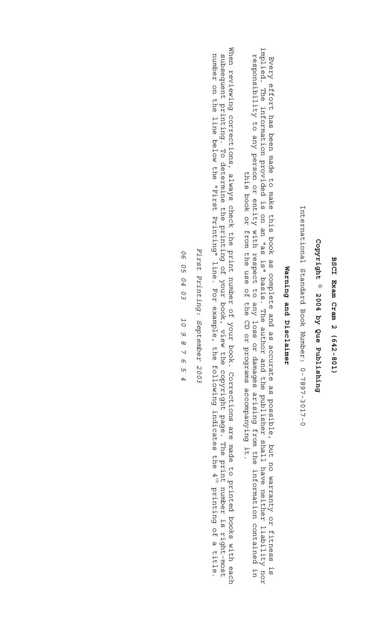## BSCI Exam Cram 2 (642-801) **BSCI Exam Cram 2 (642-801)**

## Copyright © 2004 by Que Publishing **Copyright © 2004 by Que Publishing**

International Standard Book Number: 0-7897-3017-0 International Standard Book Number: 0-7897-3017-0

## Warning and Disclaimer **Warning and Disclaimer**

implied. The information provided is on an "as is" basis. The author and the publisher shall have neither liability nor implied. The information provided is on an "as is" basis. The author and the publisher shall have neither liability nor responsibility to any person or entity with respect to any loss or damages arising from the information contained in<br>The strand of the sock or from the use of the CD or programs accompanying it. Every effort has been made to make this book as complete and as accurate as possible, but no warranty or fitness is responsibility to any person or entity with respect to any loss or damages arising from the information contained in Every effort has been made to make this book as complete and as accurate as possible, but no warranty or fitness is this book or from the use of the CD or programs accompanying it.

When reviewing corrections, always check the print number of your book. Corrections are made to printed books with each When reviewing corrections, always check the print number of your book. Corrections are made to printed books with each subsequent printing. To determine the printing of your book, view the copyright page. The print number is right-most number on the line below the "First Printing" line. For example, the following indicates the 4<sup>th</sup> printing of a title. number on the line below the "First Printing" line. For example, the following indicates the 4 subsequent printing. To determine the printing of your book, view the copyright page. The print number is right-most th printing of a title.

First Printing: September 2003 *First Printing: September 2003*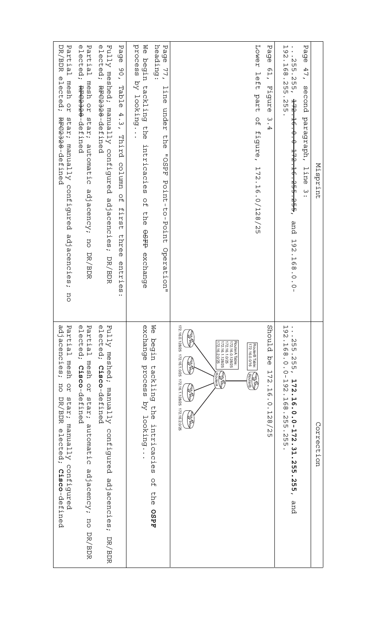| Misprint                                                                                                                                                                           | Correction                                                                                                                                                                                                                                                                      |
|------------------------------------------------------------------------------------------------------------------------------------------------------------------------------------|---------------------------------------------------------------------------------------------------------------------------------------------------------------------------------------------------------------------------------------------------------------------------------|
| ᠊ᠣ<br>ۆ<br>م<br>ወ<br>47<br>$\overline{\phantom{0}}$<br>second<br>paragraph,<br>line<br>$\ddot{.}$                                                                                  |                                                                                                                                                                                                                                                                                 |
| ⊢ .<br>.<br>75.<br>$\dddot{\cdot}$<br>$\mathsf{N}$<br>٦G<br>UЛ<br>ŪЧ<br>$\infty$<br>$\frac{25}{25}$<br>255, <del>172.16.0.0 172.16.255.255</del> ,<br>.255.255.<br>and 192.168.0.0 | 192<br>$\ddot{\cdot}$<br>З<br>С<br>⊢<br>Q)<br>UЛ<br>$\infty$<br>$-255$<br>$\circ$<br>$\circ$<br>$\mathsf I$<br><b>172</b><br>19<br>$\mathsf{C}$<br>$\bullet$<br>$\overline{5}$<br>L<br>89<br>$\dot{\circ}$<br>N<br>$.0 - 172.31.$<br>UЛ<br>UП<br>З<br>С<br>UП<br>255.255<br>and |
| Pag<br>ወ<br>Q<br>Ë<br>$\overline{\phantom{0}}$<br>Figure<br>$\omega$<br>.<br>4                                                                                                     | Should<br>р<br>Ф<br>⊢<br>┙<br>N<br>٠<br>$\overline{\phantom{0}}$<br>Ō<br>$\circ$<br>٠<br>⊢<br>N<br>$^\infty$<br>$\mathsf{C}$<br>UП                                                                                                                                              |
| Lower<br>left<br>part<br>$\frac{0}{1}$<br>figure, 172.16.0/128/25                                                                                                                  | RouterB Table:<br>172.16.0.0/16<br><b>ENERGY</b>                                                                                                                                                                                                                                |
|                                                                                                                                                                                    | 172.16.1.128/25<br>172.16.1.0/25<br>172.16.0.128/25<br>RouterA Table:<br>172.16.2.0/25<br><b>AND</b><br>RouterA                                                                                                                                                                 |
|                                                                                                                                                                                    | 172.16.0.128/25 172.16.1.0/25 172.16.1.128/25 172.16.2.0/25                                                                                                                                                                                                                     |
| heading:<br>Page<br>77,<br>line<br>under<br>ehe<br>"OSPF<br>Pornt-to-Pornt<br>Operation"                                                                                           | M⊝<br>begin<br>tackling<br>en.<br>E<br>intricacies<br>$\Gamma_{\rm H}$<br>ehe<br><b>AASO</b>                                                                                                                                                                                    |
| process<br><b>M</b><br>begin tackling the<br>by looking<br>intricacies<br>$\Omega_{\text{H}}$<br>ehe<br><b>GARD</b><br>exchange                                                    | exchange<br>process<br>by looking.                                                                                                                                                                                                                                              |
| Page<br>06'<br>Table<br>$4.3$ , Third<br>column<br>$\frac{0}{1}$<br>first<br>three<br>entries<br>                                                                                  |                                                                                                                                                                                                                                                                                 |
| Fully meshed; manually configured<br>elected; RFC2328-defined<br>adjacencies;<br>DR/BDR                                                                                            | ወ<br>Fully<br>lected;<br>meshed;<br>Cisco-defined<br>Wanually<br>configured<br>adjacencies;<br>DR/BDR                                                                                                                                                                           |
| Partial mesh or star; automatic<br>elected; <del>RFC2328</del> -defined<br>adjacency; no DR/BDR                                                                                    | ወ<br>Partial<br>lected;<br>mesh<br>Cisco-defined<br><b>Dr</b><br>star;<br>automatic<br>adjacency;<br>no DR/BDR                                                                                                                                                                  |
| DR/BDR<br>Partial<br>elected;<br>mesh<br>70 <sub>1</sub><br>Redaa-defined<br>star; manually configured adjacencies;<br>no                                                          | adjacencies;<br>Partial<br>mesh<br><b>D</b><br>IJO<br>star; manually<br>DR/BDR<br>elected;<br>configured<br>befined<br>cisco-defined                                                                                                                                            |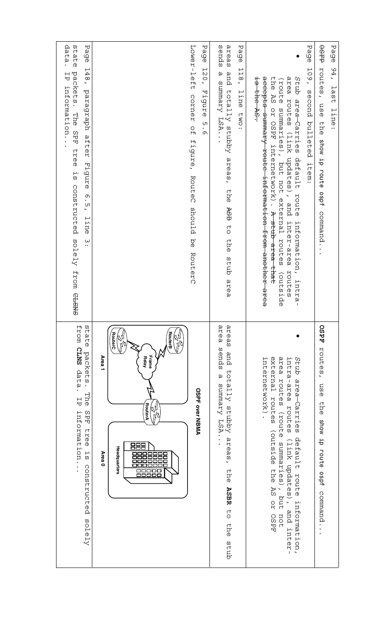| data.<br>state<br>Page<br>148,<br>packets. The SPF<br>H<br>information.<br>paragraph after<br>tree<br>Figure<br>Ξ,<br>constructed<br>6.51<br>line<br>$\overset{\mathsf{L}}{\cdot}$<br>solely<br>from<br><b>GNSTD</b> | Lower-left<br>Page<br>$\frac{1}{2}$<br>$\overline{O}$<br>Figure<br>corner<br><b>ហា</b><br>$\Omega$<br>۰,<br>ጣ<br>figure, RouteC<br>should be RouterC                                              | areas<br>sends<br>Page<br>118,<br>and totally stubby<br>$\omega$<br>Summary LSA<br>line<br>Fwo:<br>areas,<br>ehe<br>ASB to<br>ehe<br>dubs<br>area | Page<br>109,<br>accepts summary route<br>area routes<br>is the AS.<br>the AS<br>Stub<br>eqnca)<br>second<br>area-Carries<br>OZ OSPF<br>summaries),<br>bulleted<br>(link updates), and inter-area<br>internetwork). A stub<br>default<br>item:<br>but not external routes<br>-information from another<br>route<br>information, intra-<br>area that<br>routes<br>(outside<br>area | <b>OSFFP</b><br>Page<br>routes, use<br>94,<br>last<br>line:<br>the show ip route ospf command |
|----------------------------------------------------------------------------------------------------------------------------------------------------------------------------------------------------------------------|---------------------------------------------------------------------------------------------------------------------------------------------------------------------------------------------------|---------------------------------------------------------------------------------------------------------------------------------------------------|----------------------------------------------------------------------------------------------------------------------------------------------------------------------------------------------------------------------------------------------------------------------------------------------------------------------------------------------------------------------------------|-----------------------------------------------------------------------------------------------|
| H<br>WΩ<br>uc<br>tatee<br><b>CLNS</b><br>packets<br>data<br>$\bullet$<br>The<br>号<br>information.<br>SPF<br><b>Lree</b><br>ςT.<br>constructed<br>solely                                                              | <b>RouterB</b><br>RouterC<br>RÝ,<br>Ŋ<br>Frame<br>Area <sub>1</sub><br><b>Relay</b><br><b>OSPF over NBMA</b><br>RouterA<br>T)<br>888<br>Headquarters<br>Area 0<br>▭<br>□<br>□<br>00<br>п<br>00000 | атеа<br>areas<br>spugs<br>and<br>totally stubby<br>ω<br>Summary LSA.<br>areas,<br>the<br><b>ASBR</b><br><b>CO</b><br>ehe<br>dub                   | external<br>area routes<br>intra-area routes<br>Stub area-Carries<br>internetwork)<br>routes<br>(route<br>(outside<br>default route<br>(link updates),<br>summaries),<br>ehe<br><b>AS</b><br>put<br><b>DY</b><br>information,<br>and<br>not<br>OSPF<br>inter-                                                                                                                    | <b>OSPF</b><br>routes,<br>osu<br>erhe<br>show ip route ospf<br>command                        |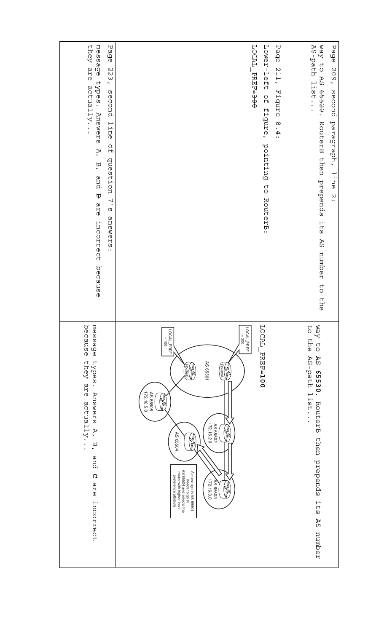| message<br>they<br>Page<br>are<br>223,<br>types. Answers<br>actually<br>second<br>line<br>$\frac{0}{1}$<br>A,<br>question<br>B, and <del>D</del> are<br>$\frac{7}{2}$<br>snswers:<br>incorrect<br>because | LOCAL PREFI-300<br>Lower-left<br>Page<br>211,<br>Figure<br>$\frac{0}{1}$<br>figure, pointing<br>8.4:<br>$\begin{array}{c} 7 \ 0 \end{array}$<br>RouterB:                                                                                                                                                                                                                                           | way to<br>AS-path<br>Page<br>209,<br><b>AS</b><br>$1 \pm 1$ st<br>65520.<br>second<br>paragraph,<br>RouterB then prepends<br>line<br>$\ddot{ }$<br>$\frac{1}{1}$ ts<br><b>AS</b><br>number<br>$\overline{C}$<br>ehe |
|-----------------------------------------------------------------------------------------------------------------------------------------------------------------------------------------------------------|----------------------------------------------------------------------------------------------------------------------------------------------------------------------------------------------------------------------------------------------------------------------------------------------------------------------------------------------------------------------------------------------------|---------------------------------------------------------------------------------------------------------------------------------------------------------------------------------------------------------------------|
| because<br>message<br>types.<br>they<br>are<br>Answers<br>actually.<br>A,<br>Ρ,<br>and<br>$\Omega$<br>are<br>incorrect                                                                                    | LOCAL<br>L<br>LOCAL_PREF<br>LOCAL_PREF<br>$\sf H$<br>$001 =$<br>300<br><b>PREF-100</b><br>AS 65501<br>RouterA<br>EW)<br>陽<br>AS 65505<br>72.16.5.0<br><b>SU</b><br>M<br>AS 65502<br>72.16.2.0<br>(i)<br>D<br>AS 65504<br>郻<br>meeds to go to<br>AS 65504 and selects the<br>A message in AS 65501<br>router with higher local-<br>₹<br>preference attribute<br>172.16.3.0<br>AS 65503<br><b>RA</b> | <b>C</b><br>Way<br>ehe<br>$\overline{C}$<br>AS<br>$\Delta S$<br>i-path<br>65530<br>$\bullet$<br>$-1st$ .<br>RouterB<br>then prepends<br>$\frac{1}{15}$<br><b>AS</b><br>number                                       |